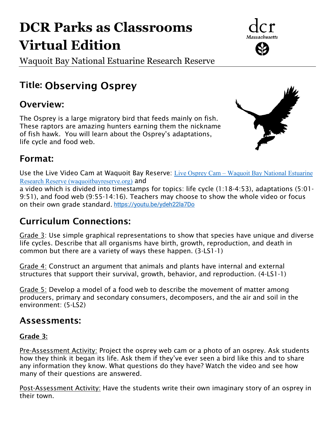# **DCR Parks as Classrooms Virtual Edition**

Waquoit Bay National Estuarine Research Reserve

# Title: Observing Osprey

## Overview:

The Osprey is a large migratory bird that feeds mainly on fish. These raptors are amazing hunters earning them the nickname of fish hawk. You will learn about the Osprey's adaptations, life cycle and food web.



## Format:

Use the Live Video Cam at Waquoit Bay Reserve: Live Osprey Cam – [Waquoit Bay National Estuarine](http://waquoitbayreserve.org/live-osprey-cam/)  [Research Reserve \(waquoitbayreserve.org\)](http://waquoitbayreserve.org/live-osprey-cam/) and

a video which is divided into timestamps for topics: life cycle (1:18-4:53), adaptations (5:01- 9:51), and food web (9:55-14:16). Teachers may choose to show the whole video or focus on their own grade standard. <https://youtu.be/ydeh22la7Do>

## Curriculum Connections:

Grade 3: Use simple graphical representations to show that species have unique and diverse life cycles. Describe that all organisms have birth, growth, reproduction, and death in common but there are a variety of ways these happen. (3-LS1-1)

Grade 4: Construct an argument that animals and plants have internal and external structures that support their survival, growth, behavior, and reproduction. (4-LS1-1)

Grade 5: Develop a model of a food web to describe the movement of matter among producers, primary and secondary consumers, decomposers, and the air and soil in the environment: (5-LS2)

## Assessments:

#### Grade 3:

Pre-Assessment Activity: Project the osprey web cam or a photo of an osprey. Ask students how they think it began its life. Ask them if they've ever seen a bird like this and to share any information they know. What questions do they have? Watch the video and see how many of their questions are answered.

Post-Assessment Activity: Have the students write their own imaginary story of an osprey in their town.